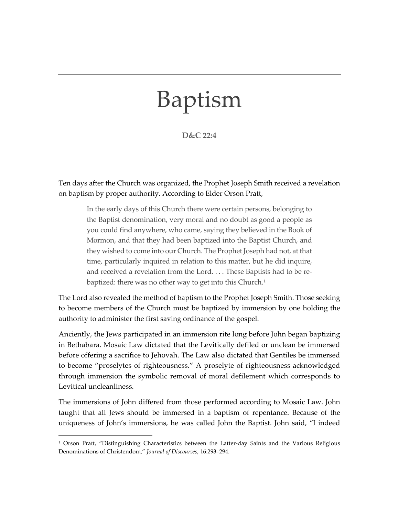## Baptism

## **D&C 22:4**

Ten days after the Church was organized, the Prophet Joseph Smith received a revelation on baptism by proper authority. According to Elder Orson Pratt,

In the early days of this Church there were certain persons, belonging to the Baptist denomination, very moral and no doubt as good a people as you could find anywhere, who came, saying they believed in the Book of Mormon, and that they had been baptized into the Baptist Church, and they wished to come into our Church. The Prophet Joseph had not, at that time, particularly inquired in relation to this matter, but he did inquire, and received a revelation from the Lord. . . . These Baptists had to be re-baptized: there was no other way to get into this Church.<sup>[1](#page-0-0)</sup>

The Lord also revealed the method of baptism to the Prophet Joseph Smith. Those seeking to become members of the Church must be baptized by immersion by one holding the authority to administer the first saving ordinance of the gospel.

Anciently, the Jews participated in an immersion rite long before John began baptizing in Bethabara. Mosaic Law dictated that the Levitically defiled or unclean be immersed before offering a sacrifice to Jehovah. The Law also dictated that Gentiles be immersed to become "proselytes of righteousness." A proselyte of righteousness acknowledged through immersion the symbolic removal of moral defilement which corresponds to Levitical uncleanliness.

The immersions of John differed from those performed according to Mosaic Law. John taught that all Jews should be immersed in a baptism of repentance. Because of the uniqueness of John's immersions, he was called John the Baptist. John said, "I indeed

<span id="page-0-0"></span><sup>1</sup> Orson Pratt, "Distinguishing Characteristics between the Latter-day Saints and the Various Religious Denominations of Christendom," *Journal of Discourses*, 16:293–294.